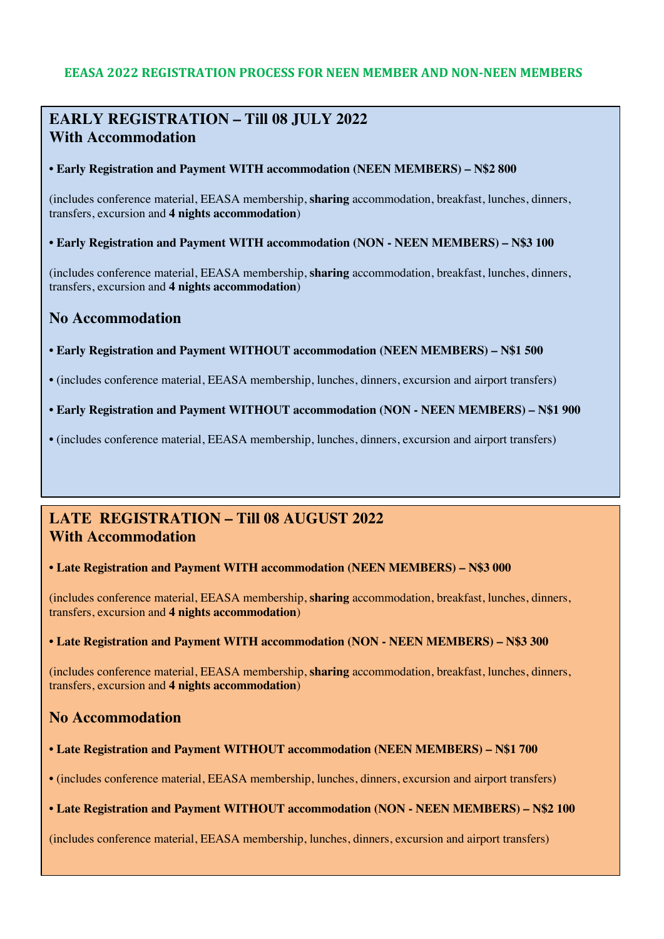## **EEASA 2022 REGISTRATION PROCESS FOR NEEN MEMBER AND NON-NEEN MEMBERS**

# **EARLY REGISTRATION – Till 08 JULY 2022 With Accommodation**

**• Early Registration and Payment WITH accommodation (NEEN MEMBERS) – N\$2 800**

(includes conference material, EEASA membership, **sharing** accommodation, breakfast, lunches, dinners, transfers, excursion and **4 nights accommodation**)

**• Early Registration and Payment WITH accommodation (NON - NEEN MEMBERS) – N\$3 100**

(includes conference material, EEASA membership, **sharing** accommodation, breakfast, lunches, dinners, transfers, excursion and **4 nights accommodation**)

## **No Accommodation**

- **Early Registration and Payment WITHOUT accommodation (NEEN MEMBERS) – N\$1 500**
- (includes conference material, EEASA membership, lunches, dinners, excursion and airport transfers)
- **Early Registration and Payment WITHOUT accommodation (NON - NEEN MEMBERS) – N\$1 900**
- (includes conference material, EEASA membership, lunches, dinners, excursion and airport transfers)

## **LATE REGISTRATION – Till 08 AUGUST 2022 With Accommodation**

#### **• Late Registration and Payment WITH accommodation (NEEN MEMBERS) – N\$3 000**

(includes conference material, EEASA membership, **sharing** accommodation, breakfast, lunches, dinners, transfers, excursion and **4 nights accommodation**)

#### **• Late Registration and Payment WITH accommodation (NON - NEEN MEMBERS) – N\$3 300**

(includes conference material, EEASA membership, **sharing** accommodation, breakfast, lunches, dinners, transfers, excursion and **4 nights accommodation**)

## **No Accommodation**

#### **• Late Registration and Payment WITHOUT accommodation (NEEN MEMBERS) – N\$1 700**

• (includes conference material, EEASA membership, lunches, dinners, excursion and airport transfers)

#### **• Late Registration and Payment WITHOUT accommodation (NON - NEEN MEMBERS) – N\$2 100**

(includes conference material, EEASA membership, lunches, dinners, excursion and airport transfers)